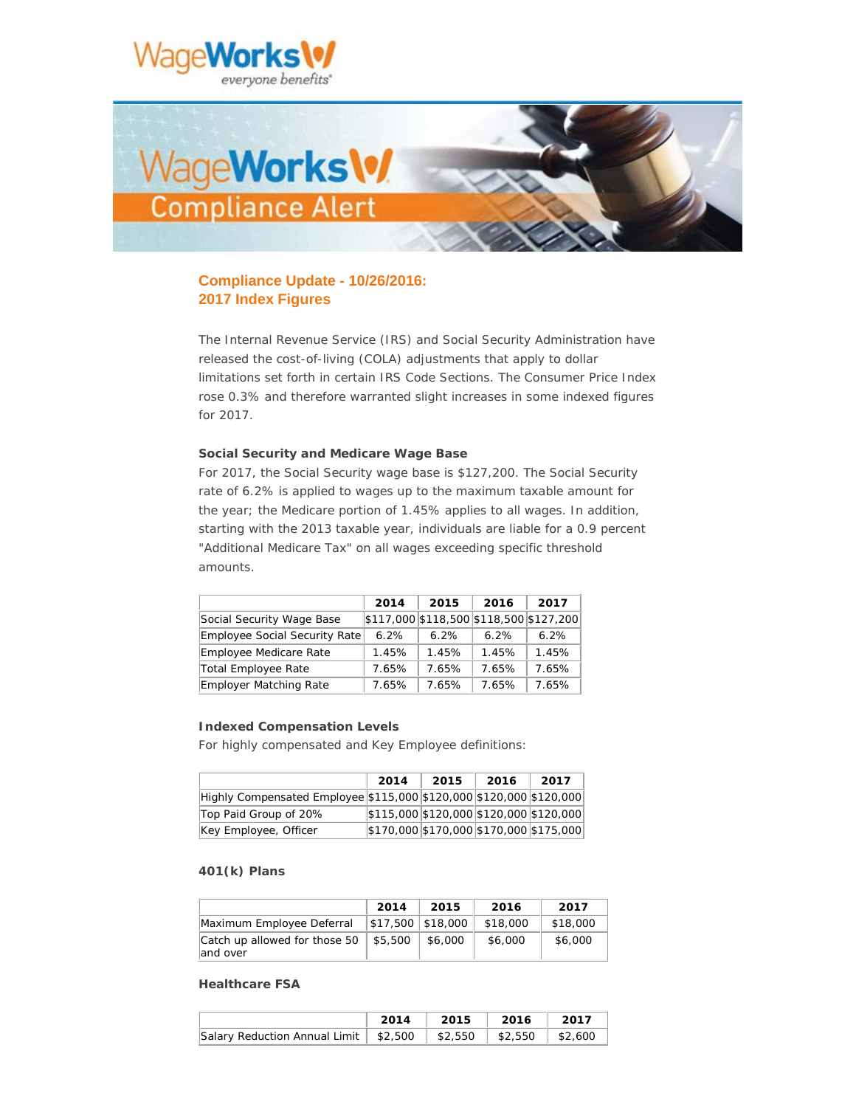



# **Compliance Update - 10/26/2016: 2017 Index Figures**

The Internal Revenue Service (IRS) and Social Security Administration have released the cost-of-living (COLA) adjustments that apply to dollar limitations set forth in certain IRS Code Sections. The Consumer Price Index rose 0.3% and therefore warranted slight increases in some indexed figures for 2017.

### **Social Security and Medicare Wage Base**

For 2017, the Social Security wage base is \$127,200. The Social Security rate of 6.2% is applied to wages up to the maximum taxable amount for the year; the Medicare portion of 1.45% applies to all wages. In addition, starting with the 2013 taxable year, individuals are liable for a 0.9 percent "Additional Medicare Tax" on all wages exceeding specific threshold amounts.

|                                      | 2014  | 2015                                     | 2016  | 2017  |
|--------------------------------------|-------|------------------------------------------|-------|-------|
| Social Security Wage Base            |       | $$117,000$ \$118,500 \$118,500 \$127,200 |       |       |
| <b>Employee Social Security Rate</b> | 6.2%  | 6.2%                                     | 6.2%  | 6.2%  |
| <b>Employee Medicare Rate</b>        | 1.45% | 1.45%                                    | 1.45% | 1.45% |
| Total Employee Rate                  | 7.65% | 7.65%                                    | 7.65% | 7.65% |
| <b>Employer Matching Rate</b>        | 7.65% | 7.65%                                    | 7.65% | 7.65% |

### **Indexed Compensation Levels**

For highly compensated and Key Employee definitions:

|                                                                     | 2014                                                                       | 2015 | 2016 | 2017 |
|---------------------------------------------------------------------|----------------------------------------------------------------------------|------|------|------|
| Highly Compensated Employee \$115,000 \$120,000 \$120,000 \$120,000 |                                                                            |      |      |      |
| Top Paid Group of 20%                                               | $\frac{1}{2}115,000\frac{1}{2}120,000\frac{1}{2}120,000\frac{1}{2}120,000$ |      |      |      |
| Key Employee, Officer                                               | $ \$170,000 \$170,000 \$170,000 \$175,000 $                                |      |      |      |

### **401(k) Plans**

|                                           | 2014              | 2015    | 2016     | 2017     |
|-------------------------------------------|-------------------|---------|----------|----------|
| Maximum Employee Deferral                 | \$17,500 \$18,000 |         | \$18,000 | \$18,000 |
| Catch up allowed for those 50<br>and over | \$5,500           | \$6,000 | \$6,000  | \$6,000  |

#### **Healthcare FSA**

|                                                                       | 2014 2015 2016 2017 |  |
|-----------------------------------------------------------------------|---------------------|--|
| Salary Reduction Annual Limit   \$2,500   \$2,550   \$2,550   \$2,600 |                     |  |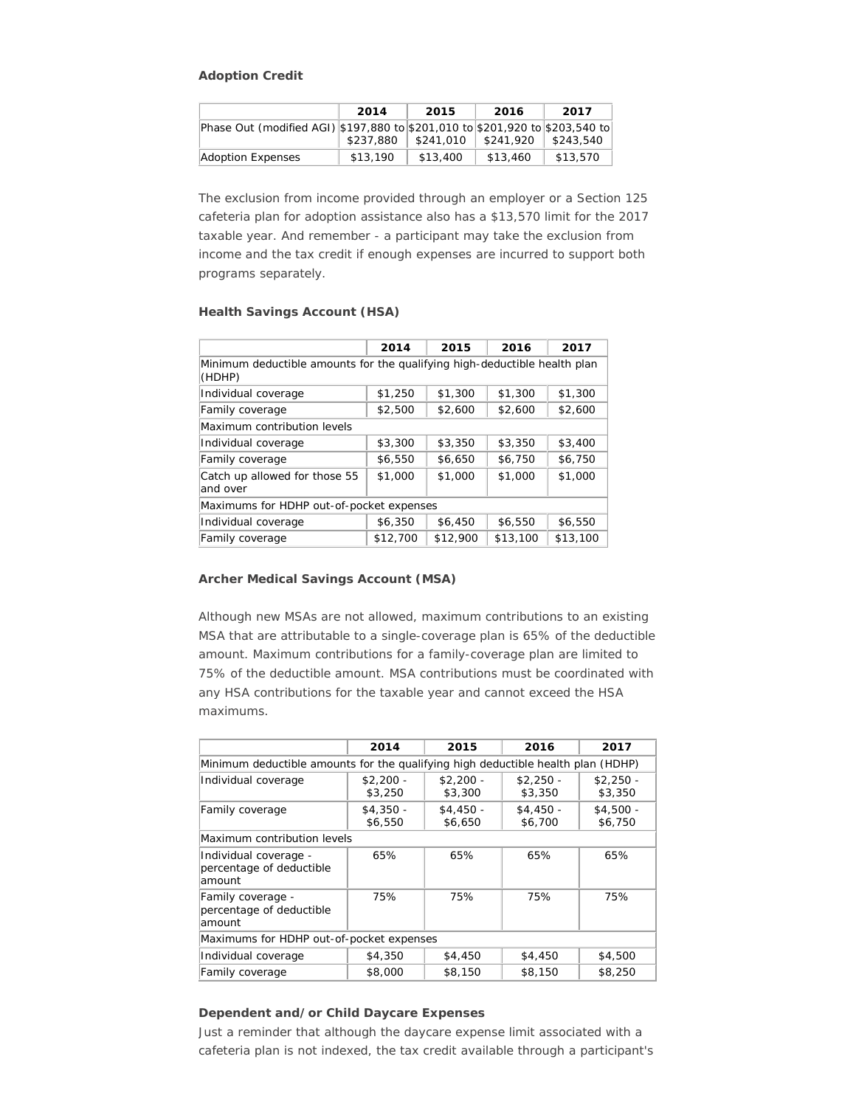### **Adoption Credit**

|                                                                              | 2014      | 2015      | 2016      | 2017      |
|------------------------------------------------------------------------------|-----------|-----------|-----------|-----------|
| Phase Out (modified AGI) \$197,880 to \$201,010 to \$201,920 to \$203,540 to |           |           |           |           |
|                                                                              | \$237.880 | \$241,010 | \$241,920 | \$243,540 |
| <b>Adoption Expenses</b>                                                     | \$13,190  | \$13,400  | \$13,460  | \$13,570  |

The exclusion from income provided through an employer or a Section 125 cafeteria plan for adoption assistance also has a \$13,570 limit for the 2017 taxable year. And remember - a participant may take the exclusion from income and the tax credit if enough expenses are incurred to support both programs separately.

# **Health Savings Account (HSA)**

|                                                                                     | 2014     | 2015     | 2016     | 2017     |  |  |
|-------------------------------------------------------------------------------------|----------|----------|----------|----------|--|--|
| Minimum deductible amounts for the qualifying high-deductible health plan<br>(HDHP) |          |          |          |          |  |  |
| Individual coverage                                                                 | \$1,250  | \$1,300  | \$1,300  | \$1,300  |  |  |
| Family coverage                                                                     | \$2,500  | \$2,600  | \$2,600  | \$2,600  |  |  |
| Maximum contribution levels                                                         |          |          |          |          |  |  |
| Individual coverage                                                                 | \$3,300  | \$3,350  | \$3,350  | \$3,400  |  |  |
| Family coverage                                                                     | \$6,550  | \$6,650  | \$6,750  | \$6,750  |  |  |
| Catch up allowed for those 55<br>and over                                           | \$1,000  | \$1,000  | \$1,000  | \$1,000  |  |  |
| Maximums for HDHP out-of-pocket expenses                                            |          |          |          |          |  |  |
| Individual coverage                                                                 | \$6,350  | \$6,450  | \$6,550  | \$6,550  |  |  |
| Family coverage                                                                     | \$12,700 | \$12,900 | \$13,100 | \$13,100 |  |  |

# **Archer Medical Savings Account (MSA)**

Although new MSAs are not allowed, maximum contributions to an existing MSA that are attributable to a single-coverage plan is 65% of the deductible amount. Maximum contributions for a family-coverage plan are limited to 75% of the deductible amount. MSA contributions must be coordinated with any HSA contributions for the taxable year and cannot exceed the HSA maximums.

|                                                                                  | 2014                  | 2015                  | 2016                  | 2017                  |  |  |  |
|----------------------------------------------------------------------------------|-----------------------|-----------------------|-----------------------|-----------------------|--|--|--|
| Minimum deductible amounts for the qualifying high deductible health plan (HDHP) |                       |                       |                       |                       |  |  |  |
| Individual coverage                                                              | $$2,200 -$<br>\$3,250 | $$2.200 -$<br>\$3,300 | $$2.250 -$<br>\$3,350 | $$2.250 -$<br>\$3,350 |  |  |  |
| Family coverage                                                                  | $$4,350 -$<br>\$6,550 | $$4,450 -$<br>\$6,650 | $$4,450 -$<br>\$6,700 | $$4,500 -$<br>\$6,750 |  |  |  |
| Maximum contribution levels                                                      |                       |                       |                       |                       |  |  |  |
| Individual coverage -<br>percentage of deductible<br>lamount                     | 65%                   | 65%                   | 65%                   | 65%                   |  |  |  |
| Family coverage -<br>percentage of deductible<br>lamount                         | 75%                   | 75%                   | 75%                   | 75%                   |  |  |  |
| Maximums for HDHP out-of-pocket expenses                                         |                       |                       |                       |                       |  |  |  |
| Individual coverage                                                              | \$4,350               | \$4,450               | \$4,450               | \$4,500               |  |  |  |
| Family coverage                                                                  | \$8,000               | \$8,150               | \$8,150               | \$8,250               |  |  |  |

## **Dependent and/or Child Daycare Expenses**

Just a reminder that although the daycare expense limit associated with a cafeteria plan is not indexed, the tax credit available through a participant's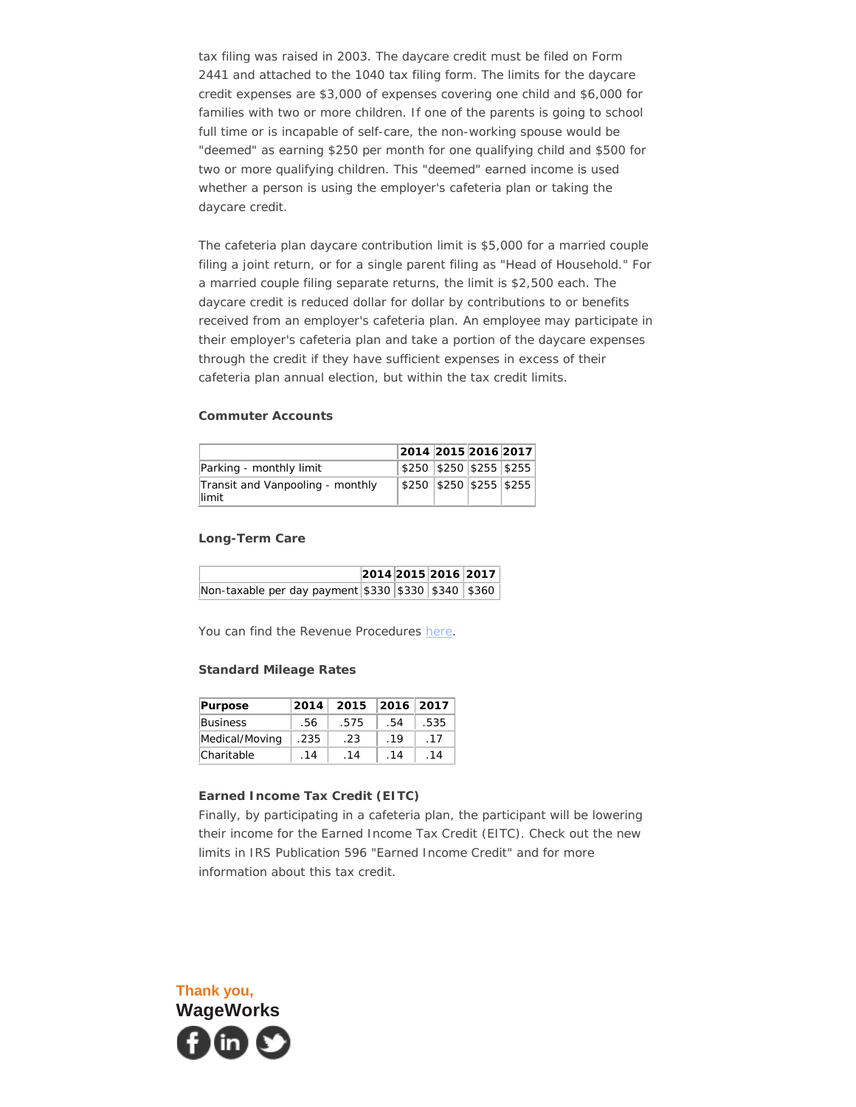tax filing was raised in 2003. The daycare credit must be filed on Form 2441 and attached to the 1040 tax filing form. The limits for the daycare credit expenses are \$3,000 of expenses covering one child and \$6,000 for families with two or more children. If one of the parents is going to school full time or is incapable of self-care, the non-working spouse would be "deemed" as earning \$250 per month for one qualifying child and \$500 for two or more qualifying children. This "deemed" earned income is used whether a person is using the employer's cafeteria plan or taking the daycare credit.

The cafeteria plan daycare contribution limit is \$5,000 for a married couple filing a joint return, or for a single parent filing as "Head of Household." For a married couple filing separate returns, the limit is \$2,500 each. The daycare credit is reduced dollar for dollar by contributions to or benefits received from an employer's cafeteria plan. An employee may participate in their employer's cafeteria plan and take a portion of the daycare expenses through the credit if they have sufficient expenses in excess of their cafeteria plan annual election, but within the tax credit limits.

### **Commuter Accounts**

|  | 2014 2015 2016 2017<br>\$250 \$250 \$255 \$255<br>\$250 \$250 \$255 \$255 |
|--|---------------------------------------------------------------------------|

## **Long-Term Care**

|                                                     |  | 2014 2015 2016 2017 |  |
|-----------------------------------------------------|--|---------------------|--|
| Non-taxable per day payment \$330 \$330 \$340 \$360 |  |                     |  |

You can find the Revenue Procedures [here.](http://app.notice.wageworks.com/e/er?s=1678246123&lid=966&elqTrackId=872195465A448A34FE27764FF0BD08DA&elq=f88a2d2973eb40c294aba0e31d75a40d&elqaid=1363&elqat=1)

# **Standard Mileage Rates**

| Purpose         | 2014        | 2015 | 2016 2017 |             |
|-----------------|-------------|------|-----------|-------------|
| <b>Business</b> | .56         | .575 | .54       | .535        |
| Medical/Moving  | .235        | .23  | .19       | .17         |
| Charitable      | $\sqrt{14}$ | .14  | .14       | $\sqrt{14}$ |

#### **Earned Income Tax Credit (EITC)**

Finally, by participating in a cafeteria plan, the participant will be lowering their income for the Earned Income Tax Credit (EITC). Check out the new limits in IRS Publication 596 "Earned Income Credit" and for more information about this tax credit.